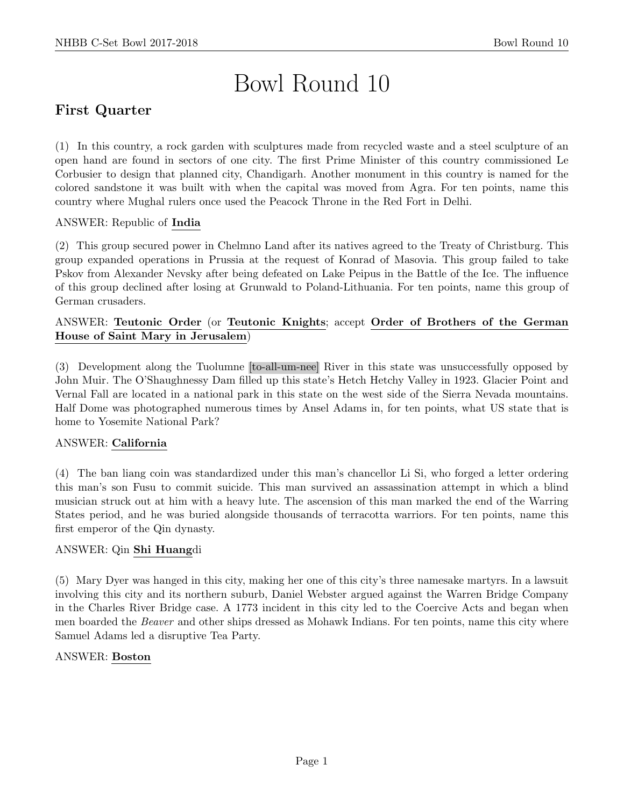# Bowl Round 10

# First Quarter

(1) In this country, a rock garden with sculptures made from recycled waste and a steel sculpture of an open hand are found in sectors of one city. The first Prime Minister of this country commissioned Le Corbusier to design that planned city, Chandigarh. Another monument in this country is named for the colored sandstone it was built with when the capital was moved from Agra. For ten points, name this country where Mughal rulers once used the Peacock Throne in the Red Fort in Delhi.

# ANSWER: Republic of India

(2) This group secured power in Chelmno Land after its natives agreed to the Treaty of Christburg. This group expanded operations in Prussia at the request of Konrad of Masovia. This group failed to take Pskov from Alexander Nevsky after being defeated on Lake Peipus in the Battle of the Ice. The influence of this group declined after losing at Grunwald to Poland-Lithuania. For ten points, name this group of German crusaders.

## ANSWER: Teutonic Order (or Teutonic Knights; accept Order of Brothers of the German House of Saint Mary in Jerusalem)

(3) Development along the Tuolumne [to-all-um-nee] River in this state was unsuccessfully opposed by John Muir. The O'Shaughnessy Dam filled up this state's Hetch Hetchy Valley in 1923. Glacier Point and Vernal Fall are located in a national park in this state on the west side of the Sierra Nevada mountains. Half Dome was photographed numerous times by Ansel Adams in, for ten points, what US state that is home to Yosemite National Park?

#### ANSWER: California

(4) The ban liang coin was standardized under this man's chancellor Li Si, who forged a letter ordering this man's son Fusu to commit suicide. This man survived an assassination attempt in which a blind musician struck out at him with a heavy lute. The ascension of this man marked the end of the Warring States period, and he was buried alongside thousands of terracotta warriors. For ten points, name this first emperor of the Qin dynasty.

#### ANSWER: Qin Shi Huangdi

(5) Mary Dyer was hanged in this city, making her one of this city's three namesake martyrs. In a lawsuit involving this city and its northern suburb, Daniel Webster argued against the Warren Bridge Company in the Charles River Bridge case. A 1773 incident in this city led to the Coercive Acts and began when men boarded the *Beaver* and other ships dressed as Mohawk Indians. For ten points, name this city where Samuel Adams led a disruptive Tea Party.

#### ANSWER: Boston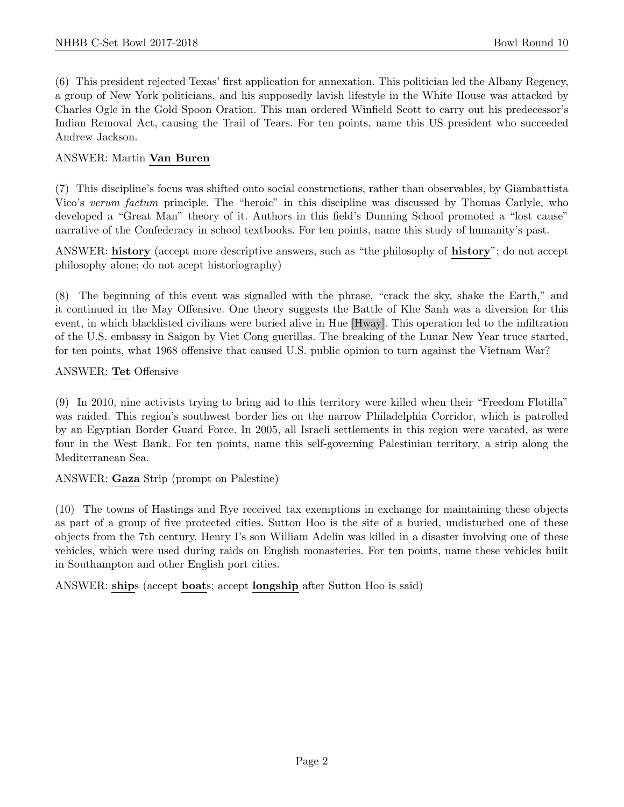(6) This president rejected Texas' first application for annexation. This politician led the Albany Regency, a group of New York politicians, and his supposedly lavish lifestyle in the White House was attacked by Charles Ogle in the Gold Spoon Oration. This man ordered Winfield Scott to carry out his predecessor's Indian Removal Act, causing the Trail of Tears. For ten points, name this US president who succeeded Andrew Jackson.

## ANSWER: Martin Van Buren

(7) This discipline's focus was shifted onto social constructions, rather than observables, by Giambattista Vico's verum factum principle. The "heroic" in this discipline was discussed by Thomas Carlyle, who developed a "Great Man" theory of it. Authors in this field's Dunning School promoted a "lost cause" narrative of the Confederacy in school textbooks. For ten points, name this study of humanity's past.

ANSWER: history (accept more descriptive answers, such as "the philosophy of history"; do not accept philosophy alone; do not acept historiography)

(8) The beginning of this event was signalled with the phrase, "crack the sky, shake the Earth," and it continued in the May Offensive. One theory suggests the Battle of Khe Sanh was a diversion for this event, in which blacklisted civilians were buried alive in Hue [Hway]. This operation led to the infiltration of the U.S. embassy in Saigon by Viet Cong guerillas. The breaking of the Lunar New Year truce started, for ten points, what 1968 offensive that caused U.S. public opinion to turn against the Vietnam War?

#### ANSWER: Tet Offensive

(9) In 2010, nine activists trying to bring aid to this territory were killed when their "Freedom Flotilla" was raided. This region's southwest border lies on the narrow Philadelphia Corridor, which is patrolled by an Egyptian Border Guard Force. In 2005, all Israeli settlements in this region were vacated, as were four in the West Bank. For ten points, name this self-governing Palestinian territory, a strip along the Mediterranean Sea.

ANSWER: Gaza Strip (prompt on Palestine)

(10) The towns of Hastings and Rye received tax exemptions in exchange for maintaining these objects as part of a group of five protected cities. Sutton Hoo is the site of a buried, undisturbed one of these objects from the 7th century. Henry I's son William Adelin was killed in a disaster involving one of these vehicles, which were used during raids on English monasteries. For ten points, name these vehicles built in Southampton and other English port cities.

ANSWER: ships (accept boats; accept longship after Sutton Hoo is said)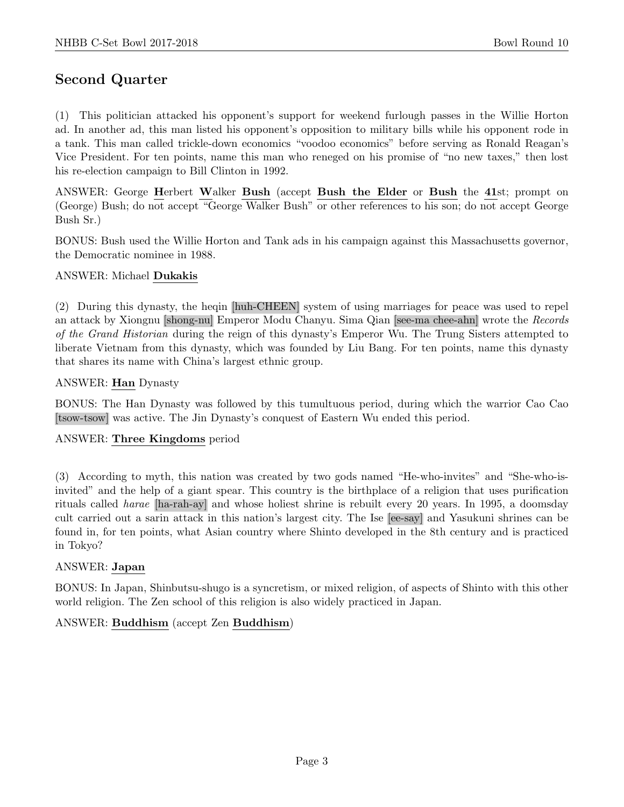# Second Quarter

(1) This politician attacked his opponent's support for weekend furlough passes in the Willie Horton ad. In another ad, this man listed his opponent's opposition to military bills while his opponent rode in a tank. This man called trickle-down economics "voodoo economics" before serving as Ronald Reagan's Vice President. For ten points, name this man who reneged on his promise of "no new taxes," then lost his re-election campaign to Bill Clinton in 1992.

ANSWER: George Herbert Walker Bush (accept Bush the Elder or Bush the 41st; prompt on (George) Bush; do not accept "George Walker Bush" or other references to his son; do not accept George Bush Sr.)

BONUS: Bush used the Willie Horton and Tank ads in his campaign against this Massachusetts governor, the Democratic nominee in 1988.

#### ANSWER: Michael Dukakis

(2) During this dynasty, the heqin [huh-CHEEN] system of using marriages for peace was used to repel an attack by Xiongnu [shong-nu] Emperor Modu Chanyu. Sima Qian [see-ma chee-ahn] wrote the Records of the Grand Historian during the reign of this dynasty's Emperor Wu. The Trung Sisters attempted to liberate Vietnam from this dynasty, which was founded by Liu Bang. For ten points, name this dynasty that shares its name with China's largest ethnic group.

#### ANSWER: Han Dynasty

BONUS: The Han Dynasty was followed by this tumultuous period, during which the warrior Cao Cao [tsow-tsow] was active. The Jin Dynasty's conquest of Eastern Wu ended this period.

#### ANSWER: Three Kingdoms period

(3) According to myth, this nation was created by two gods named "He-who-invites" and "She-who-isinvited" and the help of a giant spear. This country is the birthplace of a religion that uses purification rituals called harae [ha-rah-ay] and whose holiest shrine is rebuilt every 20 years. In 1995, a doomsday cult carried out a sarin attack in this nation's largest city. The Ise [ee-say] and Yasukuni shrines can be found in, for ten points, what Asian country where Shinto developed in the 8th century and is practiced in Tokyo?

#### ANSWER: Japan

BONUS: In Japan, Shinbutsu-shugo is a syncretism, or mixed religion, of aspects of Shinto with this other world religion. The Zen school of this religion is also widely practiced in Japan.

#### ANSWER: Buddhism (accept Zen Buddhism)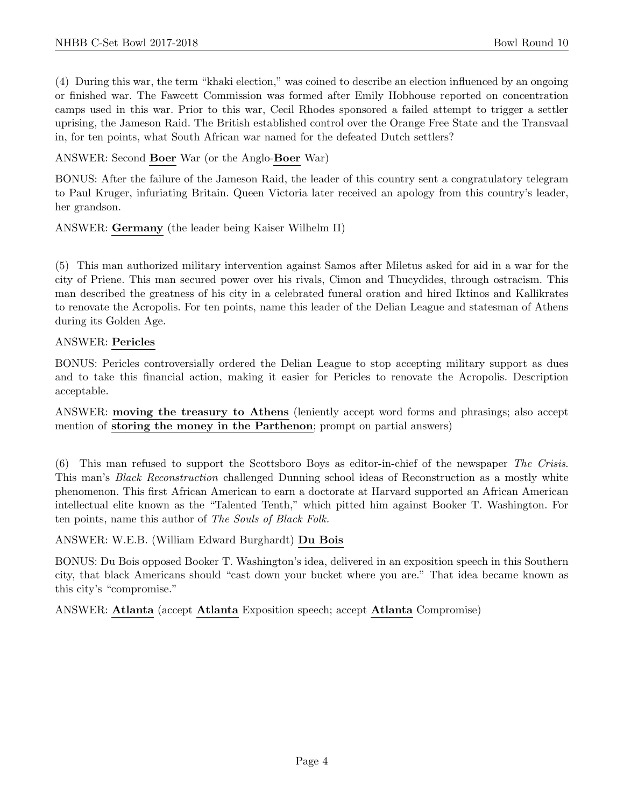(4) During this war, the term "khaki election," was coined to describe an election influenced by an ongoing or finished war. The Fawcett Commission was formed after Emily Hobhouse reported on concentration camps used in this war. Prior to this war, Cecil Rhodes sponsored a failed attempt to trigger a settler uprising, the Jameson Raid. The British established control over the Orange Free State and the Transvaal in, for ten points, what South African war named for the defeated Dutch settlers?

ANSWER: Second Boer War (or the Anglo-Boer War)

BONUS: After the failure of the Jameson Raid, the leader of this country sent a congratulatory telegram to Paul Kruger, infuriating Britain. Queen Victoria later received an apology from this country's leader, her grandson.

ANSWER: Germany (the leader being Kaiser Wilhelm II)

(5) This man authorized military intervention against Samos after Miletus asked for aid in a war for the city of Priene. This man secured power over his rivals, Cimon and Thucydides, through ostracism. This man described the greatness of his city in a celebrated funeral oration and hired Iktinos and Kallikrates to renovate the Acropolis. For ten points, name this leader of the Delian League and statesman of Athens during its Golden Age.

#### ANSWER: Pericles

BONUS: Pericles controversially ordered the Delian League to stop accepting military support as dues and to take this financial action, making it easier for Pericles to renovate the Acropolis. Description acceptable.

ANSWER: moving the treasury to Athens (leniently accept word forms and phrasings; also accept mention of storing the money in the Parthenon; prompt on partial answers)

(6) This man refused to support the Scottsboro Boys as editor-in-chief of the newspaper The Crisis. This man's Black Reconstruction challenged Dunning school ideas of Reconstruction as a mostly white phenomenon. This first African American to earn a doctorate at Harvard supported an African American intellectual elite known as the "Talented Tenth," which pitted him against Booker T. Washington. For ten points, name this author of The Souls of Black Folk.

#### ANSWER: W.E.B. (William Edward Burghardt) Du Bois

BONUS: Du Bois opposed Booker T. Washington's idea, delivered in an exposition speech in this Southern city, that black Americans should "cast down your bucket where you are." That idea became known as this city's "compromise."

ANSWER: Atlanta (accept Atlanta Exposition speech; accept Atlanta Compromise)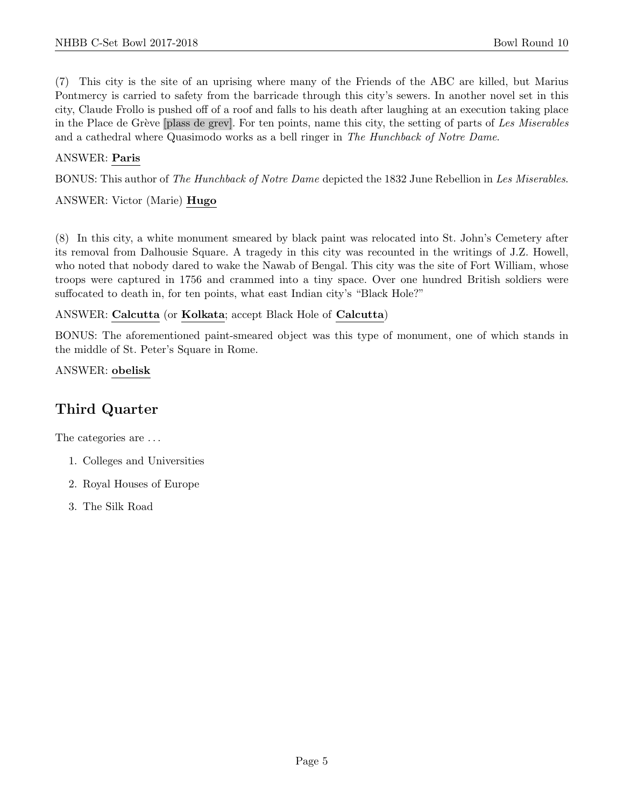(7) This city is the site of an uprising where many of the Friends of the ABC are killed, but Marius Pontmercy is carried to safety from the barricade through this city's sewers. In another novel set in this city, Claude Frollo is pushed off of a roof and falls to his death after laughing at an execution taking place in the Place de Grève [plass de grev]. For ten points, name this city, the setting of parts of Les Miserables and a cathedral where Quasimodo works as a bell ringer in The Hunchback of Notre Dame.

## ANSWER: Paris

BONUS: This author of The Hunchback of Notre Dame depicted the 1832 June Rebellion in Les Miserables.

ANSWER: Victor (Marie) Hugo

(8) In this city, a white monument smeared by black paint was relocated into St. John's Cemetery after its removal from Dalhousie Square. A tragedy in this city was recounted in the writings of J.Z. Howell, who noted that nobody dared to wake the Nawab of Bengal. This city was the site of Fort William, whose troops were captured in 1756 and crammed into a tiny space. Over one hundred British soldiers were suffocated to death in, for ten points, what east Indian city's "Black Hole?"

#### ANSWER: Calcutta (or Kolkata; accept Black Hole of Calcutta)

BONUS: The aforementioned paint-smeared object was this type of monument, one of which stands in the middle of St. Peter's Square in Rome.

ANSWER: obelisk

# Third Quarter

The categories are  $\dots$ 

- 1. Colleges and Universities
- 2. Royal Houses of Europe
- 3. The Silk Road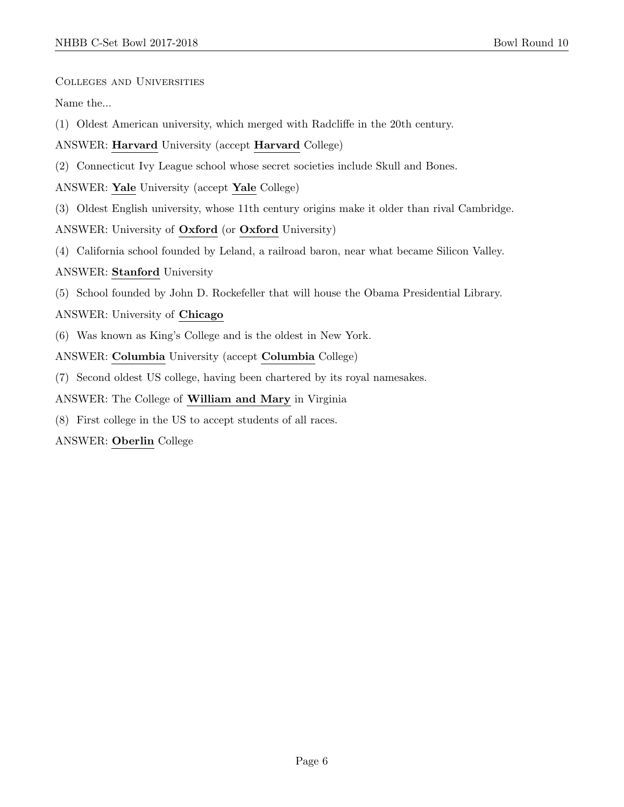Colleges and Universities

Name the...

(1) Oldest American university, which merged with Radcliffe in the 20th century.

ANSWER: Harvard University (accept Harvard College)

(2) Connecticut Ivy League school whose secret societies include Skull and Bones.

ANSWER: Yale University (accept Yale College)

(3) Oldest English university, whose 11th century origins make it older than rival Cambridge.

ANSWER: University of Oxford (or Oxford University)

(4) California school founded by Leland, a railroad baron, near what became Silicon Valley.

ANSWER: Stanford University

(5) School founded by John D. Rockefeller that will house the Obama Presidential Library.

ANSWER: University of Chicago

(6) Was known as King's College and is the oldest in New York.

ANSWER: Columbia University (accept Columbia College)

(7) Second oldest US college, having been chartered by its royal namesakes.

ANSWER: The College of William and Mary in Virginia

(8) First college in the US to accept students of all races.

ANSWER: Oberlin College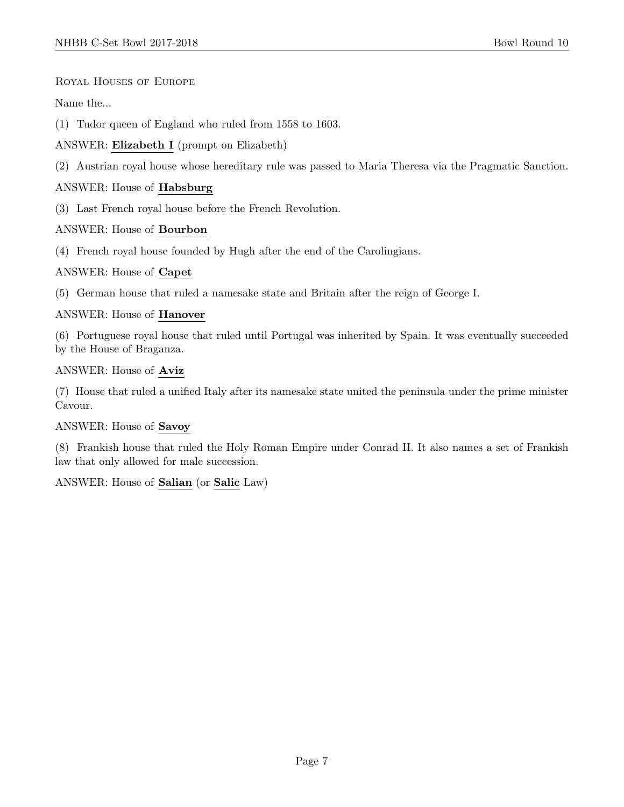Royal Houses of Europe

Name the...

- (1) Tudor queen of England who ruled from 1558 to 1603.
- ANSWER: Elizabeth I (prompt on Elizabeth)
- (2) Austrian royal house whose hereditary rule was passed to Maria Theresa via the Pragmatic Sanction.

## ANSWER: House of Habsburg

(3) Last French royal house before the French Revolution.

#### ANSWER: House of Bourbon

(4) French royal house founded by Hugh after the end of the Carolingians.

## ANSWER: House of Capet

(5) German house that ruled a namesake state and Britain after the reign of George I.

## ANSWER: House of Hanover

(6) Portuguese royal house that ruled until Portugal was inherited by Spain. It was eventually succeeded by the House of Braganza.

#### ANSWER: House of Aviz

(7) House that ruled a unified Italy after its namesake state united the peninsula under the prime minister Cavour.

#### ANSWER: House of Savoy

(8) Frankish house that ruled the Holy Roman Empire under Conrad II. It also names a set of Frankish law that only allowed for male succession.

# ANSWER: House of Salian (or Salic Law)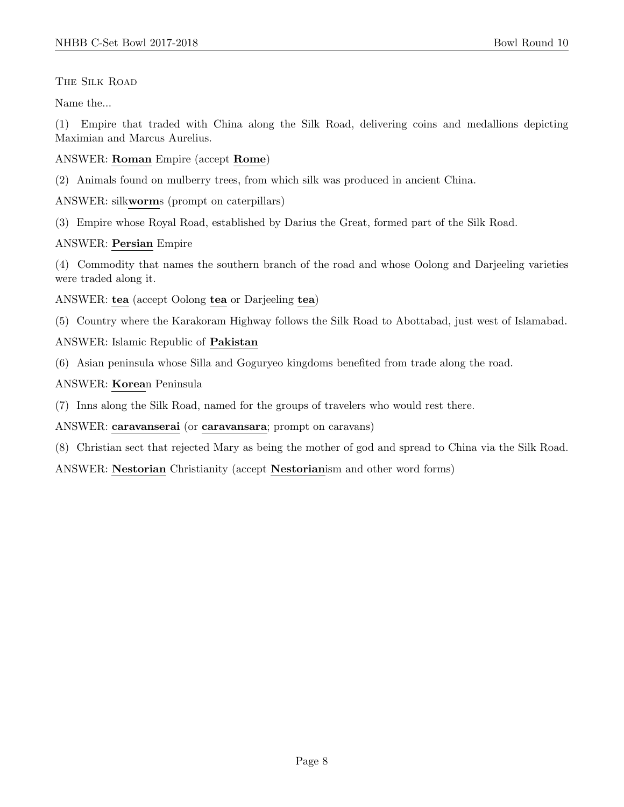## The Silk Road

Name the...

(1) Empire that traded with China along the Silk Road, delivering coins and medallions depicting Maximian and Marcus Aurelius.

## ANSWER: Roman Empire (accept Rome)

- (2) Animals found on mulberry trees, from which silk was produced in ancient China.
- ANSWER: silkworms (prompt on caterpillars)
- (3) Empire whose Royal Road, established by Darius the Great, formed part of the Silk Road.

## ANSWER: Persian Empire

(4) Commodity that names the southern branch of the road and whose Oolong and Darjeeling varieties were traded along it.

ANSWER: tea (accept Oolong tea or Darjeeling tea)

(5) Country where the Karakoram Highway follows the Silk Road to Abottabad, just west of Islamabad.

ANSWER: Islamic Republic of Pakistan

(6) Asian peninsula whose Silla and Goguryeo kingdoms benefited from trade along the road.

## ANSWER: Korean Peninsula

(7) Inns along the Silk Road, named for the groups of travelers who would rest there.

ANSWER: caravanserai (or caravansara; prompt on caravans)

(8) Christian sect that rejected Mary as being the mother of god and spread to China via the Silk Road.

ANSWER: Nestorian Christianity (accept Nestorianism and other word forms)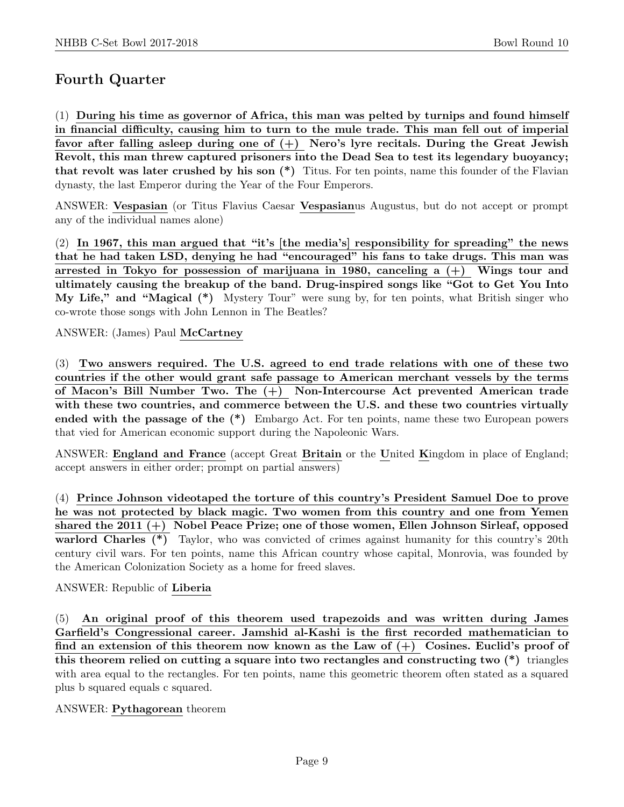# Fourth Quarter

(1) During his time as governor of Africa, this man was pelted by turnips and found himself in financial difficulty, causing him to turn to the mule trade. This man fell out of imperial favor after falling asleep during one of  $(+)$  Nero's lyre recitals. During the Great Jewish Revolt, this man threw captured prisoners into the Dead Sea to test its legendary buoyancy; that revolt was later crushed by his son (\*) Titus. For ten points, name this founder of the Flavian dynasty, the last Emperor during the Year of the Four Emperors.

ANSWER: Vespasian (or Titus Flavius Caesar Vespasianus Augustus, but do not accept or prompt any of the individual names alone)

(2) In 1967, this man argued that "it's [the media's] responsibility for spreading" the news that he had taken LSD, denying he had "encouraged" his fans to take drugs. This man was arrested in Tokyo for possession of marijuana in 1980, canceling a (+) Wings tour and ultimately causing the breakup of the band. Drug-inspired songs like "Got to Get You Into My Life," and "Magical (\*) Mystery Tour" were sung by, for ten points, what British singer who co-wrote those songs with John Lennon in The Beatles?

ANSWER: (James) Paul McCartney

(3) Two answers required. The U.S. agreed to end trade relations with one of these two countries if the other would grant safe passage to American merchant vessels by the terms of Macon's Bill Number Two. The (+) Non-Intercourse Act prevented American trade with these two countries, and commerce between the U.S. and these two countries virtually ended with the passage of the (\*) Embargo Act. For ten points, name these two European powers that vied for American economic support during the Napoleonic Wars.

ANSWER: England and France (accept Great Britain or the United Kingdom in place of England; accept answers in either order; prompt on partial answers)

(4) Prince Johnson videotaped the torture of this country's President Samuel Doe to prove he was not protected by black magic. Two women from this country and one from Yemen shared the 2011 (+) Nobel Peace Prize; one of those women, Ellen Johnson Sirleaf, opposed warlord Charles (\*) Taylor, who was convicted of crimes against humanity for this country's 20th century civil wars. For ten points, name this African country whose capital, Monrovia, was founded by the American Colonization Society as a home for freed slaves.

#### ANSWER: Republic of Liberia

(5) An original proof of this theorem used trapezoids and was written during James Garfield's Congressional career. Jamshid al-Kashi is the first recorded mathematician to find an extension of this theorem now known as the Law of  $(+)$  Cosines. Euclid's proof of this theorem relied on cutting a square into two rectangles and constructing two (\*) triangles with area equal to the rectangles. For ten points, name this geometric theorem often stated as a squared plus b squared equals c squared.

#### ANSWER: Pythagorean theorem